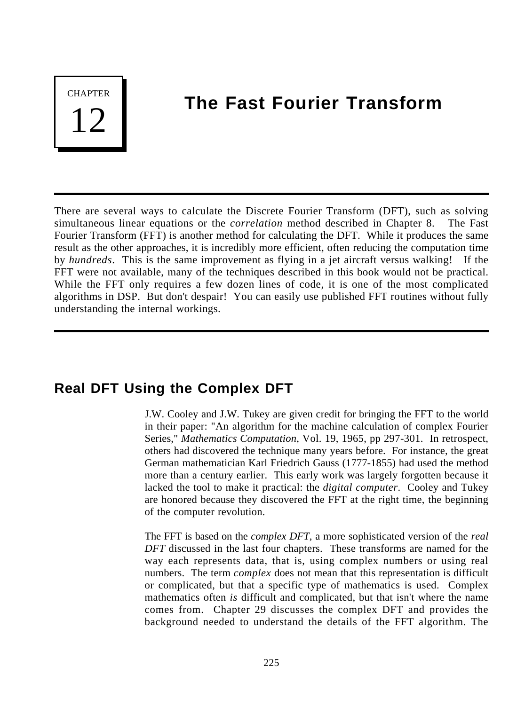**CHAPTER** 

# **The Fast Fourier Transform**

There are several ways to calculate the Discrete Fourier Transform (DFT), such as solving simultaneous linear equations or the *correlation* method described in Chapter 8. The Fast Fourier Transform (FFT) is another method for calculating the DFT. While it produces the same result as the other approaches, it is incredibly more efficient, often reducing the computation time by *hundreds*. This is the same improvement as flying in a jet aircraft versus walking! If the FFT were not available, many of the techniques described in this book would not be practical. While the FFT only requires a few dozen lines of code, it is one of the most complicated algorithms in DSP. But don't despair! You can easily use published FFT routines without fully understanding the internal workings.

## **Real DFT Using the Complex DFT**

J.W. Cooley and J.W. Tukey are given credit for bringing the FFT to the world in their paper: "An algorithm for the machine calculation of complex Fourier Series," *Mathematics Computation*, Vol. 19, 1965, pp 297-301. In retrospect, others had discovered the technique many years before. For instance, the great German mathematician Karl Friedrich Gauss (1777-1855) had used the method more than a century earlier. This early work was largely forgotten because it lacked the tool to make it practical: the *digital computer*. Cooley and Tukey are honored because they discovered the FFT at the right time, the beginning of the computer revolution.

The FFT is based on the *complex DFT*, a more sophisticated version of the *real DFT* discussed in the last four chapters. These transforms are named for the way each represents data, that is, using complex numbers or using real numbers. The term *complex* does not mean that this representation is difficult or complicated, but that a specific type of mathematics is used. Complex mathematics often *is* difficult and complicated, but that isn't where the name comes from. Chapter 29 discusses the complex DFT and provides the background needed to understand the details of the FFT algorithm. The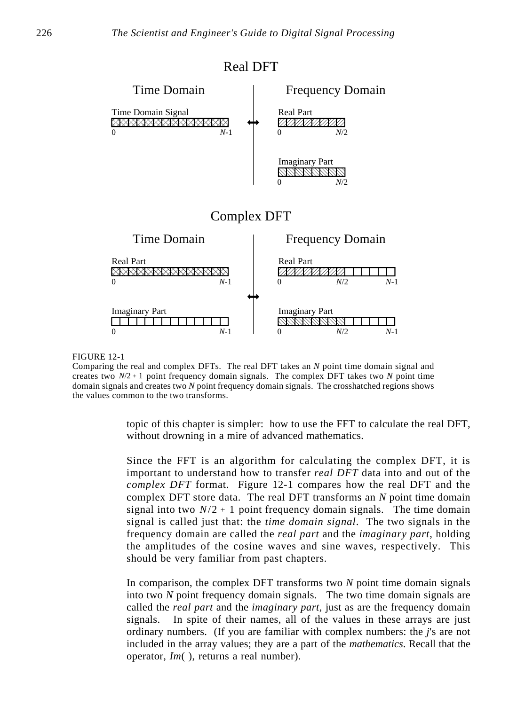

Comparing the real and complex DFTs. The real DFT takes an *N* point time domain signal and creates two  $N/2 + 1$  point frequency domain signals. The complex DFT takes two  $N$  point time domain signals and creates two *N* point frequency domain signals. The crosshatched regions shows the values common to the two transforms.

> topic of this chapter is simpler: how to use the FFT to calculate the real DFT, without drowning in a mire of advanced mathematics.

> Since the FFT is an algorithm for calculating the complex DFT, it is important to understand how to transfer *real DFT* data into and out of the *complex DFT* format. Figure 12-1 compares how the real DFT and the complex DFT store data. The real DFT transforms an *N* point time domain signal into two  $N/2 + 1$  point frequency domain signals. The time domain signal is called just that: the *time domain signal*. The two signals in the frequency domain are called the *real part* and the *imaginary part*, holding the amplitudes of the cosine waves and sine waves, respectively. This should be very familiar from past chapters.

> In comparison, the complex DFT transforms two *N* point time domain signals into two *N* point frequency domain signals. The two time domain signals are called the *real part* and the *imaginary part*, just as are the frequency domain signals. In spite of their names, all of the values in these arrays are just ordinary numbers. (If you are familiar with complex numbers: the *j*'s are not included in the array values; they are a part of the *mathematics*. Recall that the operator, *Im*( ), returns a real number).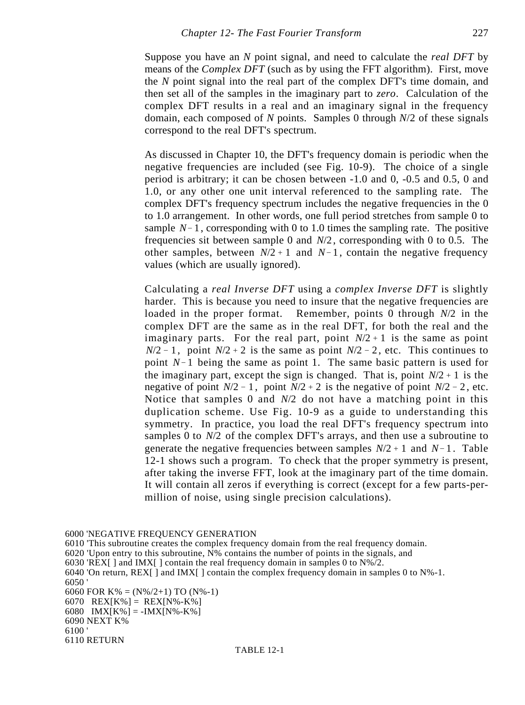Suppose you have an *N* point signal, and need to calculate the *real DFT* by means of the *Complex DFT* (such as by using the FFT algorithm). First, move the *N* point signal into the real part of the complex DFT's time domain, and then set all of the samples in the imaginary part to *zero*. Calculation of the complex DFT results in a real and an imaginary signal in the frequency domain, each composed of *N* points. Samples 0 through *N*/2 of these signals correspond to the real DFT's spectrum.

As discussed in Chapter 10, the DFT's frequency domain is periodic when the negative frequencies are included (see Fig. 10-9). The choice of a single period is arbitrary; it can be chosen between -1.0 and 0, -0.5 and 0.5, 0 and 1.0, or any other one unit interval referenced to the sampling rate. The complex DFT's frequency spectrum includes the negative frequencies in the 0 to 1.0 arrangement. In other words, one full period stretches from sample 0 to sample  $N-1$ , corresponding with 0 to 1.0 times the sampling rate. The positive frequencies sit between sample 0 and *N*/2 , corresponding with 0 to 0.5. The other samples, between  $N/2 + 1$  and  $N-1$ , contain the negative frequency values (which are usually ignored).

Calculating a *real Inverse DFT* using a *complex Inverse DFT* is slightly harder. This is because you need to insure that the negative frequencies are loaded in the proper format. Remember, points 0 through *N*/2 in the complex DFT are the same as in the real DFT, for both the real and the imaginary parts. For the real part, point  $N/2 + 1$  is the same as point  $N/2 - 1$ , point  $N/2 + 2$  is the same as point  $N/2 - 2$ , etc. This continues to point  $N-1$  being the same as point 1. The same basic pattern is used for the imaginary part, except the sign is changed. That is, point  $N/2 + 1$  is the negative of point  $N/2 - 1$ , point  $N/2 + 2$  is the negative of point  $N/2 - 2$ , etc. Notice that samples 0 and *N*/2 do not have a matching point in this duplication scheme. Use Fig. 10-9 as a guide to understanding this symmetry. In practice, you load the real DFT's frequency spectrum into samples 0 to *N*/2 of the complex DFT's arrays, and then use a subroutine to generate the negative frequencies between samples  $N/2 + 1$  and  $N - 1$ . Table 12-1 shows such a program. To check that the proper symmetry is present, after taking the inverse FFT, look at the imaginary part of the time domain. It will contain all zeros if everything is correct (except for a few parts-permillion of noise, using single precision calculations).

6000 'NEGATIVE FREQUENCY GENERATION

6010 'This subroutine creates the complex frequency domain from the real frequency domain.

6020 'Upon entry to this subroutine, N% contains the number of points in the signals, and

6030 'REX[ ] and IMX[ ] contain the real frequency domain in samples 0 to  $N\frac{6}{2}$ .

6040 'On return,  $REX$ [ ] and  $IMX$ [ ] contain the complex frequency domain in samples 0 to  $N\%$ -1. 6050 '

6060 FOR K% =  $(N\%/2+1)$  TO  $(N\% - 1)$ 6070 REX[K%] = REX[N%-K%] 6080 IMX[K%] = -IMX[N%-K%] 6090 NEXT K% 6100 '

<sup>6110</sup> RETURN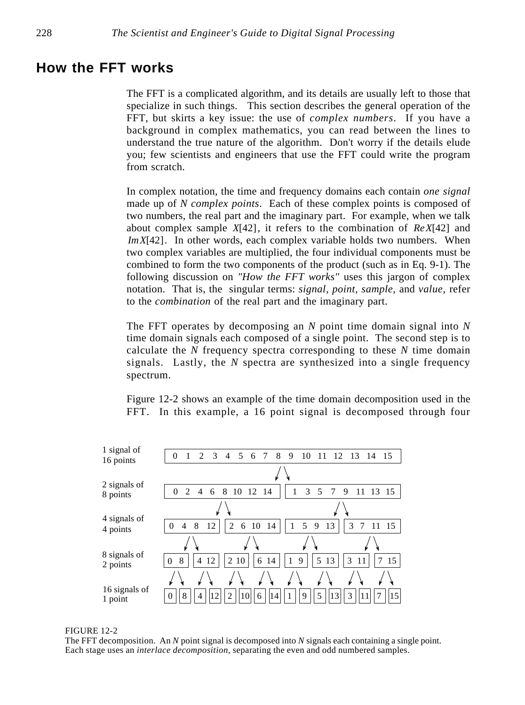### **How the FFT works**

The FFT is a complicated algorithm, and its details are usually left to those that specialize in such things. This section describes the general operation of the FFT, but skirts a key issue: the use of *complex numbers*. If you have a background in complex mathematics, you can read between the lines to understand the true nature of the algorithm. Don't worry if the details elude you; few scientists and engineers that use the FFT could write the program from scratch.

In complex notation, the time and frequency domains each contain *one signal* made up of *N complex points*. Each of these complex points is composed of two numbers, the real part and the imaginary part. For example, when we talk about complex sample *X*[42], it refers to the combination of *ReX*[42] and *ImX*[42]. In other words, each complex variable holds two numbers. When two complex variables are multiplied, the four individual components must be combined to form the two components of the product (such as in Eq. 9-1). The following discussion on *"How the FFT works"* uses this jargon of complex notation. That is, the singular terms: *signal, point, sample*, and *value*, refer to the *combination* of the real part and the imaginary part.

The FFT operates by decomposing an *N* point time domain signal into *N* time domain signals each composed of a single point. The second step is to calculate the *N* frequency spectra corresponding to these *N* time domain signals. Lastly, the *N* spectra are synthesized into a single frequency spectrum.

Figure 12-2 shows an example of the time domain decomposition used in the FFT. In this example, a 16 point signal is decomposed through four



FIGURE 12-2

The FFT decomposition. An *N* point signal is decomposed into *N* signals each containing a single point. Each stage uses an *interlace decomposition*, separating the even and odd numbered samples.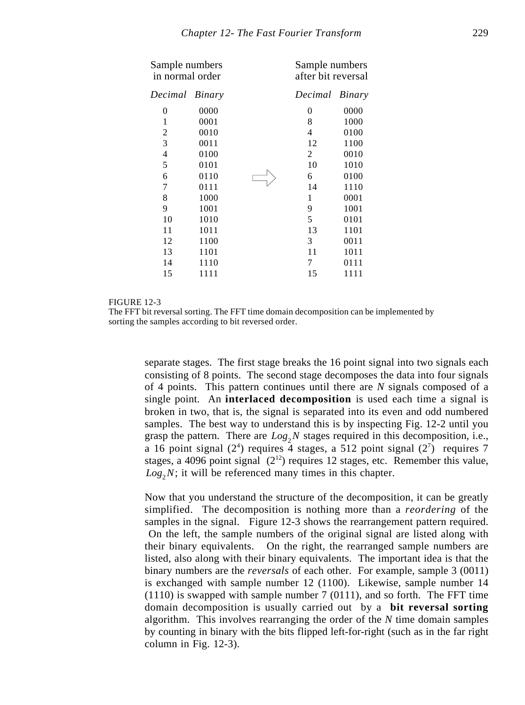| Sample numbers<br>in normal order |      |    | Sample numbers<br>after bit reversal |  |
|-----------------------------------|------|----|--------------------------------------|--|
| Decimal Binary                    |      |    | Decimal Binary                       |  |
| 0                                 | 0000 | 0  | 0000                                 |  |
| 1                                 | 0001 | 8  | 1000                                 |  |
| 2                                 | 0010 | 4  | 0100                                 |  |
| 3                                 | 0011 | 12 | 1100                                 |  |
| $\overline{\mathcal{L}}$          | 0100 | 2  | 0010                                 |  |
| 5                                 | 0101 | 10 | 1010                                 |  |
| 6                                 | 0110 | 6  | 0100                                 |  |
| 7                                 | 0111 | 14 | 1110                                 |  |
| 8                                 | 1000 | 1  | 0001                                 |  |
| 9                                 | 1001 | 9  | 1001                                 |  |
| 10                                | 1010 | 5  | 0101                                 |  |
| 11                                | 1011 | 13 | 1101                                 |  |
| 12                                | 1100 | 3  | 0011                                 |  |
| 13                                | 1101 | 11 | 1011                                 |  |
| 14                                | 1110 | 7  | 0111                                 |  |
| 15                                | 1111 | 15 | 1111                                 |  |
|                                   |      |    |                                      |  |

The FFT bit reversal sorting. The FFT time domain decomposition can be implemented by sorting the samples according to bit reversed order.

separate stages. The first stage breaks the 16 point signal into two signals each consisting of 8 points. The second stage decomposes the data into four signals of 4 points. This pattern continues until there are *N* signals composed of a single point. An **interlaced decomposition** is used each time a signal is broken in two, that is, the signal is separated into its even and odd numbered samples. The best way to understand this is by inspecting Fig. 12-2 until you grasp the pattern. There are  $Log_2N$  stages required in this decomposition, i.e., a 16 point signal  $(2^4)$  requires 4 stages, a 512 point signal  $(2^7)$  requires 7 stages, a 4096 point signal  $(2^{12})$  requires 12 stages, etc. Remember this value,  $Log_2N$ ; it will be referenced many times in this chapter.

Now that you understand the structure of the decomposition, it can be greatly simplified. The decomposition is nothing more than a *reordering* of the samples in the signal. Figure 12-3 shows the rearrangement pattern required. On the left, the sample numbers of the original signal are listed along with their binary equivalents. On the right, the rearranged sample numbers are listed, also along with their binary equivalents. The important idea is that the binary numbers are the *reversals* of each other. For example, sample 3 (0011) is exchanged with sample number 12 (1100). Likewise, sample number 14 (1110) is swapped with sample number 7 (0111), and so forth. The FFT time domain decomposition is usually carried out by a **bit reversal sorting** algorithm. This involves rearranging the order of the *N* time domain samples by counting in binary with the bits flipped left-for-right (such as in the far right column in Fig. 12-3).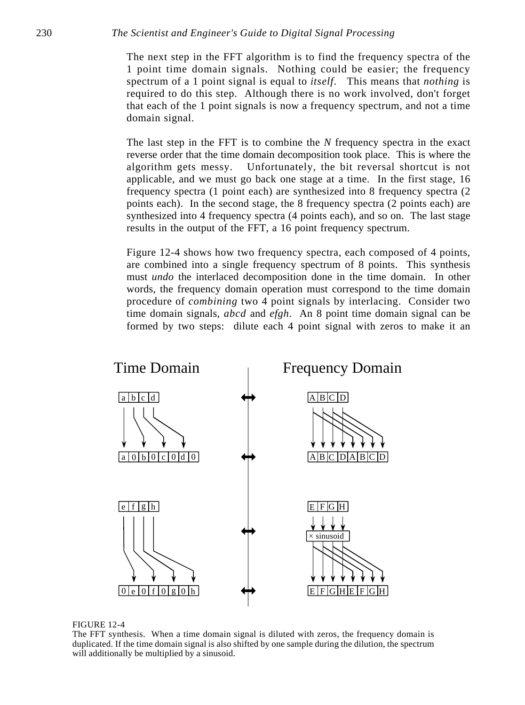The next step in the FFT algorithm is to find the frequency spectra of the 1 point time domain signals. Nothing could be easier; the frequency spectrum of a 1 point signal is equal to *itself*. This means that *nothing* is required to do this step. Although there is no work involved, don't forget that each of the 1 point signals is now a frequency spectrum, and not a time domain signal.

The last step in the FFT is to combine the *N* frequency spectra in the exact reverse order that the time domain decomposition took place. This is where the algorithm gets messy. Unfortunately, the bit reversal shortcut is not applicable, and we must go back one stage at a time. In the first stage, 16 frequency spectra (1 point each) are synthesized into 8 frequency spectra (2 points each). In the second stage, the 8 frequency spectra (2 points each) are synthesized into 4 frequency spectra (4 points each), and so on. The last stage results in the output of the FFT, a 16 point frequency spectrum.

Figure 12-4 shows how two frequency spectra, each composed of 4 points, are combined into a single frequency spectrum of 8 points. This synthesis must *undo* the interlaced decomposition done in the time domain. In other words, the frequency domain operation must correspond to the time domain procedure of *combining* two 4 point signals by interlacing. Consider two time domain signals, *abcd* and *efgh*. An 8 point time domain signal can be formed by two steps: dilute each 4 point signal with zeros to make it an





The FFT synthesis. When a time domain signal is diluted with zeros, the frequency domain is duplicated. If the time domain signal is also shifted by one sample during the dilution, the spectrum will additionally be multiplied by a sinusoid.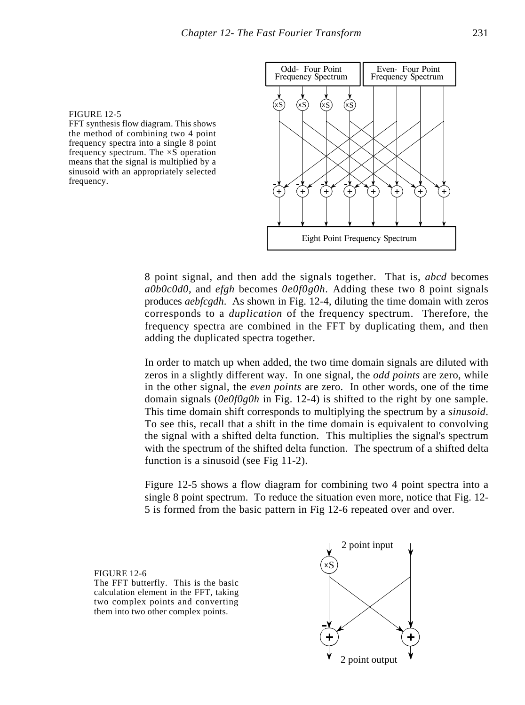FFT synthesis flow diagram. This shows the method of combining two 4 point frequency spectra into a single 8 point frequency spectrum. The  $\times$ S operation means that the signal is multiplied by a sinusoid with an appropriately selected frequency.



8 point signal, and then add the signals together. That is, *abcd* becomes *a0b0c0d0*, and *efgh* becomes *0e0f0g0h.* Adding these two 8 point signals produces *aebfcgdh*. As shown in Fig. 12-4, diluting the time domain with zeros corresponds to a *duplication* of the frequency spectrum. Therefore, the frequency spectra are combined in the FFT by duplicating them, and then adding the duplicated spectra together.

In order to match up when added, the two time domain signals are diluted with zeros in a slightly different way. In one signal, the *odd points* are zero, while in the other signal, the *even points* are zero. In other words, one of the time domain signals (*0e0f0g0h* in Fig. 12-4) is shifted to the right by one sample. This time domain shift corresponds to multiplying the spectrum by a *sinusoid*. To see this, recall that a shift in the time domain is equivalent to convolving the signal with a shifted delta function. This multiplies the signal's spectrum with the spectrum of the shifted delta function. The spectrum of a shifted delta function is a sinusoid (see Fig 11-2).

Figure 12-5 shows a flow diagram for combining two 4 point spectra into a single 8 point spectrum. To reduce the situation even more, notice that Fig. 12- 5 is formed from the basic pattern in Fig 12-6 repeated over and over.

FIGURE 12-6 The FFT butterfly. This is the basic calculation element in the FFT, taking two complex points and converting them into two other complex points.

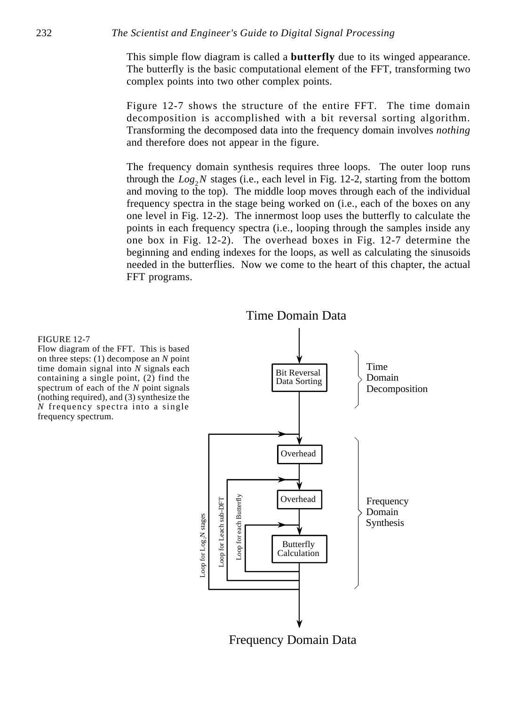This simple flow diagram is called a **butterfly** due to its winged appearance. The butterfly is the basic computational element of the FFT, transforming two complex points into two other complex points.

Figure 12-7 shows the structure of the entire FFT. The time domain decomposition is accomplished with a bit reversal sorting algorithm. Transforming the decomposed data into the frequency domain involves *nothing* and therefore does not appear in the figure.

The frequency domain synthesis requires three loops. The outer loop runs through the  $Log_2N$  stages (i.e., each level in Fig. 12-2, starting from the bottom and moving to the top). The middle loop moves through each of the individual frequency spectra in the stage being worked on (i.e., each of the boxes on any one level in Fig. 12-2). The innermost loop uses the butterfly to calculate the points in each frequency spectra (i.e., looping through the samples inside any one box in Fig. 12-2). The overhead boxes in Fig. 12-7 determine the beginning and ending indexes for the loops, as well as calculating the sinusoids needed in the butterflies. Now we come to the heart of this chapter, the actual FFT programs.



#### FIGURE 12-7

Flow diagram of the FFT. This is based on three steps: (1) decompose an *N* point time domain signal into *N* signals each containing a single point, (2) find the spectrum of each of the *N* point signals (nothing required), and (3) synthesize the *N* frequency spectra into a single frequency spectrum.

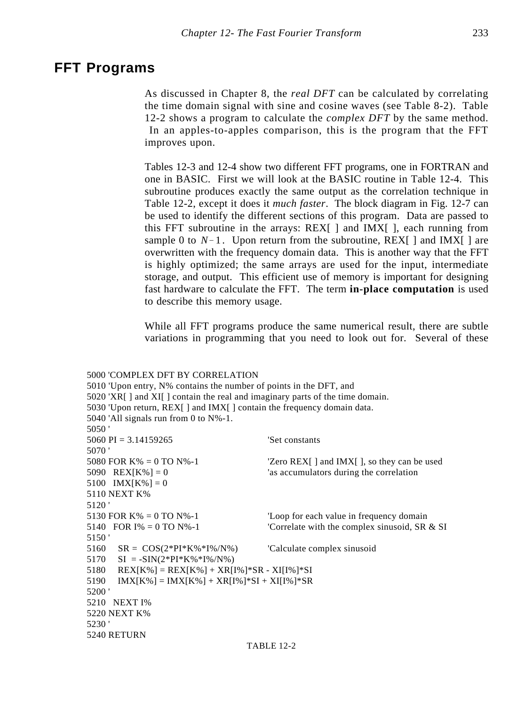### **FFT Programs**

As discussed in Chapter 8, the *real DFT* can be calculated by correlating the time domain signal with sine and cosine waves (see Table 8-2). Table 12-2 shows a program to calculate the *complex DFT* by the same method. In an apples-to-apples comparison, this is the program that the FFT improves upon.

Tables 12-3 and 12-4 show two different FFT programs, one in FORTRAN and one in BASIC. First we will look at the BASIC routine in Table 12-4. This subroutine produces exactly the same output as the correlation technique in Table 12-2, except it does it *much faster*. The block diagram in Fig. 12-7 can be used to identify the different sections of this program. Data are passed to this FFT subroutine in the arrays:  $REX$ [ ] and  $IMX$ [ ], each running from sample 0 to  $N-1$ . Upon return from the subroutine, REX[ ] and IMX[ ] are overwritten with the frequency domain data. This is another way that the FFT is highly optimized; the same arrays are used for the input, intermediate storage, and output. This efficient use of memory is important for designing fast hardware to calculate the FFT. The term **in-place computation** is used to describe this memory usage.

While all FFT programs produce the same numerical result, there are subtle variations in programming that you need to look out for. Several of these

### 5000 'COMPLEX DFT BY CORRELATION

5010 'Upon entry, N% contains the number of points in the DFT, and 5020 'XR[ ] and XI[ ] contain the real and imaginary parts of the time domain. 5030 'Upon return, REX[ ] and IMX[ ] contain the frequency domain data. 5040 'All signals run from 0 to N%-1. 5050 ' 5060 PI = 3.14159265 'Set constants 5070 ' 5080 FOR  $K\% = 0$  TO  $N\% - 1$  'Zero REX[ ] and  $IMX$ [ ], so they can be used 5090 REX[K%] = 0  $\leq$  'as accumulators during the correlation 5100  $IMX[K\%] = 0$ 5110 NEXT K% 5120 ' 5130 FOR K% = 0 TO N%-1 'Loop for each value in frequency domain 5140 FOR  $I\% = 0$  TO  $N\% - 1$  'Correlate with the complex sinusoid, SR & SI 5150 ' 5160  $SR = COS(2*PI*K\% * I\% / N\%)$  'Calculate complex sinusoid  $5170$  SI =  $-SIN(2*PI*K\% *I\% / N\%)$  $5180$  REX[K%] = REX[K%] + XR[I%]\*SR - XI[I%]\*SI  $5190$  IMX[K%] = IMX[K%] + XR[I%]\*SI + XI[I%]\*SR 5200 ' 5210 NEXT I% 5220 NEXT K% 5230 ' 5240 RETURN

### TABLE 12-2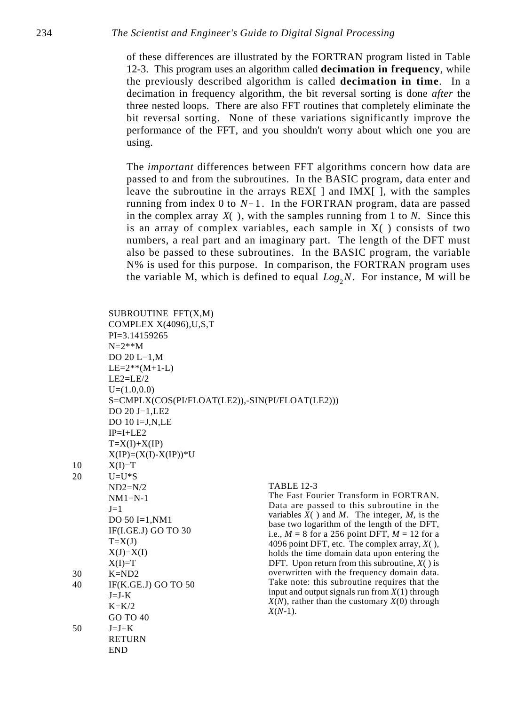of these differences are illustrated by the FORTRAN program listed in Table 12-3. This program uses an algorithm called **decimation in frequency**, while the previously described algorithm is called **decimation in time**. In a decimation in frequency algorithm, the bit reversal sorting is done *after* the three nested loops. There are also FFT routines that completely eliminate the bit reversal sorting. None of these variations significantly improve the performance of the FFT, and you shouldn't worry about which one you are using.

The *important* differences between FFT algorithms concern how data are passed to and from the subroutines. In the BASIC program, data enter and leave the subroutine in the arrays REX[ ] and IMX[ ], with the samples running from index 0 to  $N-1$ . In the FORTRAN program, data are passed in the complex array *X*( ), with the samples running from 1 to *N*. Since this is an array of complex variables, each sample in  $X( )$  consists of two numbers, a real part and an imaginary part. The length of the DFT must also be passed to these subroutines. In the BASIC program, the variable N% is used for this purpose. In comparison, the FORTRAN program uses the variable M, which is defined to equal  $Log_2N$ . For instance, M will be

|          | SUBROUTINE FFT(X,M)<br>COMPLEX X(4096), U.S.T<br>$PI = 3.14159265$ |                                                                                                                                                                                                                                                                                              |  |  |  |  |
|----------|--------------------------------------------------------------------|----------------------------------------------------------------------------------------------------------------------------------------------------------------------------------------------------------------------------------------------------------------------------------------------|--|--|--|--|
|          | $N = 2**M$<br>DO $20 L=1,M$                                        |                                                                                                                                                                                                                                                                                              |  |  |  |  |
|          | $LE=2** (M+1-L)$                                                   |                                                                                                                                                                                                                                                                                              |  |  |  |  |
|          | $LE2=LE/2$                                                         |                                                                                                                                                                                                                                                                                              |  |  |  |  |
|          | $U=(1.0,0.0)$                                                      |                                                                                                                                                                                                                                                                                              |  |  |  |  |
|          | S=CMPLX(COS(PI/FLOAT(LE2)),-SIN(PI/FLOAT(LE2)))                    |                                                                                                                                                                                                                                                                                              |  |  |  |  |
|          | DO $20$ J=1, LE2                                                   |                                                                                                                                                                                                                                                                                              |  |  |  |  |
|          | DO 10 I=J, N, LE                                                   |                                                                                                                                                                                                                                                                                              |  |  |  |  |
|          | $IP=I+LE2$                                                         |                                                                                                                                                                                                                                                                                              |  |  |  |  |
|          | $T=X(I)+X(IP)$                                                     |                                                                                                                                                                                                                                                                                              |  |  |  |  |
|          | $X(IP)=(X(I)-X(IP))*U$                                             |                                                                                                                                                                                                                                                                                              |  |  |  |  |
| 10       | $X(I)=T$                                                           |                                                                                                                                                                                                                                                                                              |  |  |  |  |
| 20       | $U = U * S$                                                        |                                                                                                                                                                                                                                                                                              |  |  |  |  |
|          | $ND2=N/2$                                                          | <b>TABLE 12-3</b>                                                                                                                                                                                                                                                                            |  |  |  |  |
|          | $NM1=N-1$                                                          | The Fast Fourier Transform in FORTRAN.<br>Data are passed to this subroutine in the<br>variables $X()$ and M. The integer, M, is the<br>base two logarithm of the length of the DFT,<br>i.e., $M = 8$ for a 256 point DFT, $M = 12$ for a<br>4096 point DFT, etc. The complex array, $X($ ), |  |  |  |  |
|          | $J=1$                                                              |                                                                                                                                                                                                                                                                                              |  |  |  |  |
|          | DO $50$ I=1, NM1                                                   |                                                                                                                                                                                                                                                                                              |  |  |  |  |
|          | IF(I.GE.J) GO TO 30                                                |                                                                                                                                                                                                                                                                                              |  |  |  |  |
|          | $T=X(J)$                                                           |                                                                                                                                                                                                                                                                                              |  |  |  |  |
|          | $X(J)=X(I)$                                                        | holds the time domain data upon entering the                                                                                                                                                                                                                                                 |  |  |  |  |
|          | $X(I)=T$                                                           | DFT. Upon return from this subroutine, $X()$ is                                                                                                                                                                                                                                              |  |  |  |  |
| 30       | $K = ND2$                                                          | overwritten with the frequency domain data.<br>Take note: this subroutine requires that the                                                                                                                                                                                                  |  |  |  |  |
| 40<br>50 | IF(K.GE.J) GO TO 50                                                | input and output signals run from $X(1)$ through                                                                                                                                                                                                                                             |  |  |  |  |
|          | $J=J-K$                                                            | $X(N)$ , rather than the customary $X(0)$ through                                                                                                                                                                                                                                            |  |  |  |  |
|          | $K=K/2$<br>GO TO 40                                                | $X(N-1)$ .                                                                                                                                                                                                                                                                                   |  |  |  |  |
|          | $J = J + K$                                                        |                                                                                                                                                                                                                                                                                              |  |  |  |  |
|          | <b>RETURN</b>                                                      |                                                                                                                                                                                                                                                                                              |  |  |  |  |
|          | <b>END</b>                                                         |                                                                                                                                                                                                                                                                                              |  |  |  |  |
|          |                                                                    |                                                                                                                                                                                                                                                                                              |  |  |  |  |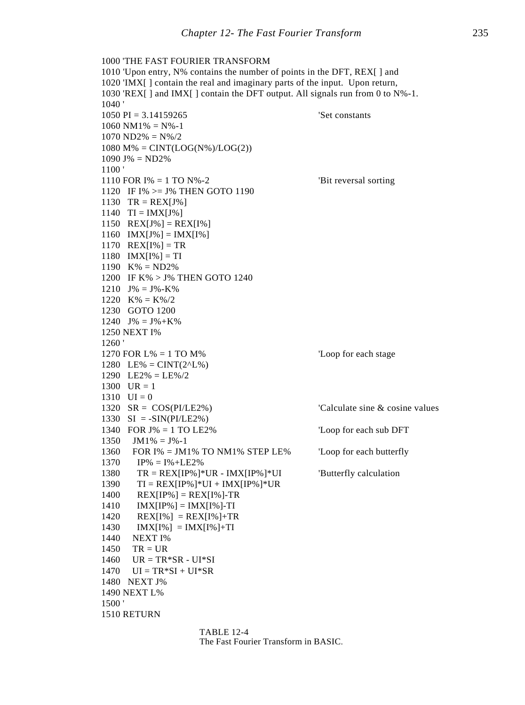```
1000 'THE FAST FOURIER TRANSFORM
1010 'Upon entry, N% contains the number of points in the DFT, REX[ ] and
1020 'IMX[ ] contain the real and imaginary parts of the input. Upon return,
1030 'REX[ ] and IMX[ ] contain the DFT output. All signals run from 0 to N%-1.
1040 '
1050 PI = 3.14159265 'Set constants
1060 \text{ NM1\%} = \text{N\% -1}1070 \text{ ND2\%} = \text{N\%}/21080 M\% = CINT(LOG(N\%)/LOG(2))1090 \text{ J\%} = \text{ND2\%}1100 '
1110 FOR I% = 1 TO N% -2 'Bit reversal sorting
1120 IF I% >= J% THEN GOTO 1190
1130 TR = REX[J\%]1140 TI = IMX[J\%]1150 REX[J\%] = REX[I\%]1160 IMX[J%] = IMX[I%]1170 REX[I\%] = TR1180 IMX[I%] = TI1190 K% = ND2%
1200 IF K% > J% THEN GOTO 1240
1210 J% = J%-K%
1220 K\% = K\%/21230 GOTO 1200
1240 J\% = J\% + K\%1250 NEXT I%
1260 '
1270 FOR L% = 1 TO M% \qquad \qquad 'Loop for each stage
1280 LE% = CINT(2^{\wedge}L\%)1290 LE2\% = LE\%/21300 UR = 11310 \text{ } \text{UI} = 01320 SR = COS(PI/LE2%) 'Calculate sine & cosine values
1330 SI = -SIN(PI/LE2%)1340 FOR J% = 1 TO LE2% 						 Loop for each sub DFT
1350 JM1% = J%-1
1360 FOR I% = JM1% TO NM1% STEP LE% 'Loop for each butterfly
1370 IP% = I%+LE2%
1380 TR = REX[IP%]*UR - IMX[IP%]*UI 'Butterfly calculation
1390 TI = REX[IP\%]*UI + IMX[IP\%]*UR1400 REX[IP%] = REX[I%]-TR
1410 IMX[IP%] = IMX[I%]-TI
1420 REX[I%] = REX[I%]+TR
1430 IMX[I\%] = IMX[I\%]+TI1440 NEXT I%
1450 TR = UR
1460 UR = TR*SR - UI*SI1470 UI = TR*SI + UI*SR
1480 NEXT J%
1490 NEXT L%
1500 '
1510 RETURN
```
TABLE 12-4 The Fast Fourier Transform in BASIC.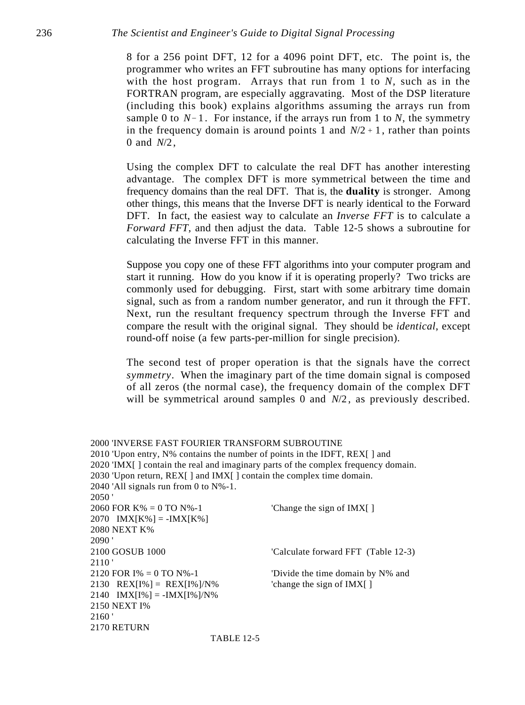8 for a 256 point DFT, 12 for a 4096 point DFT, etc. The point is, the programmer who writes an FFT subroutine has many options for interfacing with the host program. Arrays that run from 1 to *N,* such as in the FORTRAN program, are especially aggravating. Most of the DSP literature (including this book) explains algorithms assuming the arrays run from sample 0 to  $N-1$ . For instance, if the arrays run from 1 to *N*, the symmetry in the frequency domain is around points 1 and  $N/2 + 1$ , rather than points 0 and *N*/2 ,

Using the complex DFT to calculate the real DFT has another interesting advantage. The complex DFT is more symmetrical between the time and frequency domains than the real DFT. That is, the **duality** is stronger. Among other things, this means that the Inverse DFT is nearly identical to the Forward DFT. In fact, the easiest way to calculate an *Inverse FFT* is to calculate a *Forward FFT*, and then adjust the data. Table 12-5 shows a subroutine for calculating the Inverse FFT in this manner.

Suppose you copy one of these FFT algorithms into your computer program and start it running. How do you know if it is operating properly? Two tricks are commonly used for debugging. First, start with some arbitrary time domain signal, such as from a random number generator, and run it through the FFT. Next, run the resultant frequency spectrum through the Inverse FFT and compare the result with the original signal. They should be *identical*, except round-off noise (a few parts-per-million for single precision).

The second test of proper operation is that the signals have the correct *symmetry*. When the imaginary part of the time domain signal is composed of all zeros (the normal case), the frequency domain of the complex DFT will be symmetrical around samples 0 and  $N/2$ , as previously described.

2000 'INVERSE FAST FOURIER TRANSFORM SUBROUTINE 2010 'Upon entry, N% contains the number of points in the IDFT, REX[ ] and 2020 'IMX[ ] contain the real and imaginary parts of the complex frequency domain. 2030 'Upon return, REX[ ] and IMX[ ] contain the complex time domain. 2040 'All signals run from 0 to N%-1. 2050 ' 2060 FOR  $K\% = 0$  TO  $N\% - 1$  'Change the sign of IMX[ ]  $2070$  IMX[K%] = -IMX[K%] 2080 NEXT K% 2090 ' 2100 GOSUB 1000 'Calculate forward FFT (Table 12-3) 2110 ' 2120 FOR  $I\% = 0$  TO N%-1 'Divide the time domain by N% and 2130 REX[I%] = REX[I%]/N%  $\text{change the sign of IMX}$ []  $2140$  IMX[I%] = -IMX[I%]/N% 2150 NEXT I% 2160 ' 2170 RETURN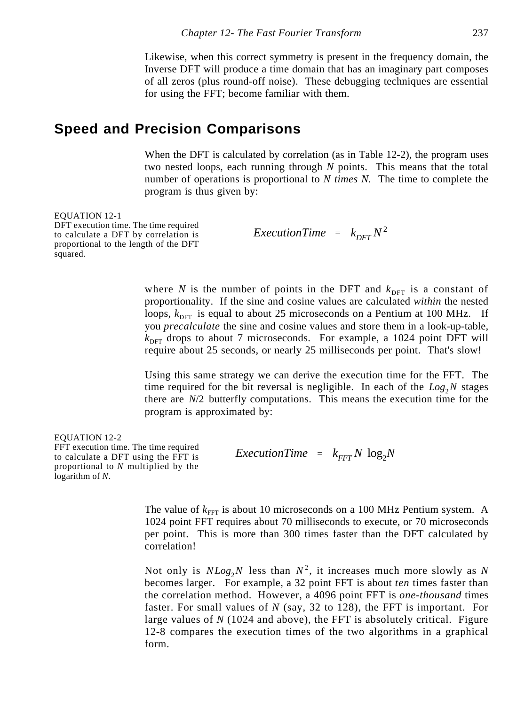Likewise, when this correct symmetry is present in the frequency domain, the Inverse DFT will produce a time domain that has an imaginary part composes of all zeros (plus round-off noise). These debugging techniques are essential for using the FFT; become familiar with them.

### **Speed and Precision Comparisons**

When the DFT is calculated by correlation (as in Table 12-2), the program uses two nested loops, each running through *N* points. This means that the total number of operations is proportional to *N times N.* The time to complete the program is thus given by:

EQUATION 12-1

DFT execution time. The time required to calculate a DFT by correlation is proportional to the length of the DFT squared.

*ExecutionTime* =  $k_{DFT}N^2$ 

where *N* is the number of points in the DFT and  $k_{\text{DFT}}$  is a constant of proportionality. If the sine and cosine values are calculated *within* the nested loops,  $k<sub>DEF</sub>$  is equal to about 25 microseconds on a Pentium at 100 MHz. If you *precalculate* the sine and cosine values and store them in a look-up-table,  $k<sub>DFT</sub>$  drops to about 7 microseconds. For example, a 1024 point DFT will require about 25 seconds, or nearly 25 milliseconds per point. That's slow!

Using this same strategy we can derive the execution time for the FFT. The time required for the bit reversal is negligible. In each of the  $Log_2N$  stages there are *N*/2 butterfly computations. This means the execution time for the program is approximated by:

```
EQUATION 12-2
FFT execution time. The time required
to calculate a DFT using the FFT is
proportional to N multiplied by the
logarithm of N.
                                          ExecutionTime = k_{FFT}N \log_2 N
```
The value of  $k_{\text{FFT}}$  is about 10 microseconds on a 100 MHz Pentium system. A 1024 point FFT requires about 70 milliseconds to execute, or 70 microseconds per point. This is more than 300 times faster than the DFT calculated by correlation!

Not only is  $NLog_2N$  less than  $N^2$ , it increases much more slowly as N becomes larger. For example, a 32 point FFT is about *ten* times faster than the correlation method. However, a 4096 point FFT is *one-thousand* times faster. For small values of *N* (say, 32 to 128), the FFT is important. For large values of *N* (1024 and above), the FFT is absolutely critical. Figure 12-8 compares the execution times of the two algorithms in a graphical form.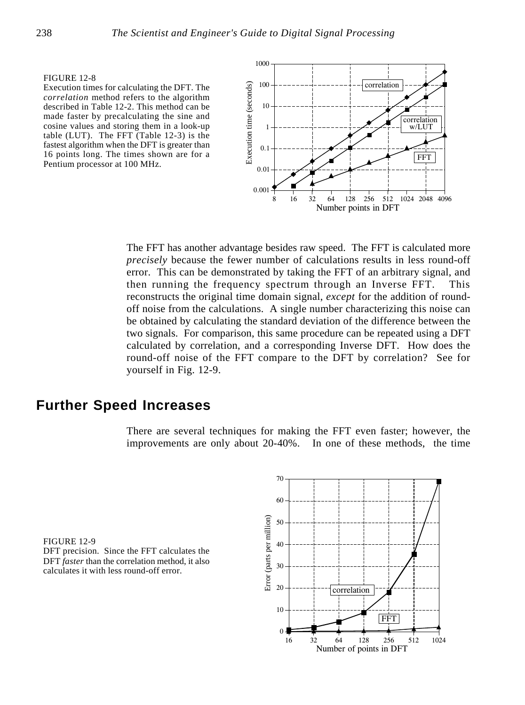Execution times for calculating the DFT. The *correlation* method refers to the algorithm described in Table 12-2. This method can be made faster by precalculating the sine and cosine values and storing them in a look-up table (LUT). The FFT (Table 12-3) is the fastest algorithm when the DFT is greater than 16 points long. The times shown are for a Pentium processor at 100 MHz.



The FFT has another advantage besides raw speed. The FFT is calculated more *precisely* because the fewer number of calculations results in less round-off error. This can be demonstrated by taking the FFT of an arbitrary signal, and then running the frequency spectrum through an Inverse FFT. This reconstructs the original time domain signal, *except* for the addition of roundoff noise from the calculations. A single number characterizing this noise can be obtained by calculating the standard deviation of the difference between the two signals. For comparison, this same procedure can be repeated using a DFT calculated by correlation, and a corresponding Inverse DFT. How does the round-off noise of the FFT compare to the DFT by correlation? See for yourself in Fig. 12-9.

### **Further Speed Increases**

There are several techniques for making the FFT even faster; however, the improvements are only about 20-40%. In one of these methods, the time

FIGURE 12-9 DFT precision. Since the FFT calculates the DFT *faster* than the correlation method, it also calculates it with less round-off error.

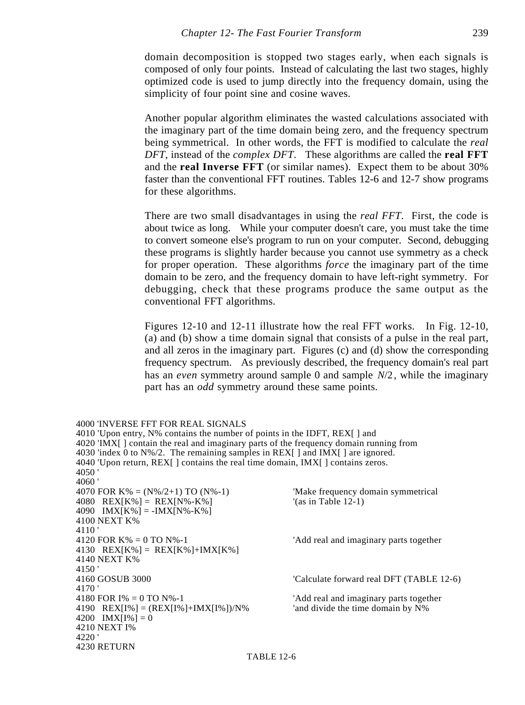domain decomposition is stopped two stages early, when each signals is composed of only four points. Instead of calculating the last two stages, highly optimized code is used to jump directly into the frequency domain, using the simplicity of four point sine and cosine waves.

Another popular algorithm eliminates the wasted calculations associated with the imaginary part of the time domain being zero, and the frequency spectrum being symmetrical. In other words, the FFT is modified to calculate the *real DFT*, instead of the *complex DFT*. These algorithms are called the **real FFT** and the **real Inverse FFT** (or similar names). Expect them to be about 30% faster than the conventional FFT routines. Tables 12-6 and 12-7 show programs for these algorithms.

There are two small disadvantages in using the *real FFT*. First, the code is about twice as long. While your computer doesn't care, you must take the time to convert someone else's program to run on your computer. Second, debugging these programs is slightly harder because you cannot use symmetry as a check for proper operation. These algorithms *force* the imaginary part of the time domain to be zero, and the frequency domain to have left-right symmetry. For debugging, check that these programs produce the same output as the conventional FFT algorithms.

Figures 12-10 and 12-11 illustrate how the real FFT works. In Fig. 12-10, (a) and (b) show a time domain signal that consists of a pulse in the real part, and all zeros in the imaginary part. Figures (c) and (d) show the corresponding frequency spectrum. As previously described, the frequency domain's real part has an *even* symmetry around sample 0 and sample  $N/2$ , while the imaginary part has an *odd* symmetry around these same points.

```
4000 'INVERSE FFT FOR REAL SIGNALS
4010 'Upon entry, N% contains the number of points in the IDFT, REX[ ] and
4020 'IMX[ ] contain the real and imaginary parts of the frequency domain running from
4030 'index 0 to N\frac{6}{2}. The remaining samples in REX[ ] and IMX[ ] are ignored.
4040 'Upon return, REX[ ] contains the real time domain, IMX[ ] contains zeros.
4050 '
4060 '
4070 FOR K\% = (N\%/2+1) TO (N\% - 1) 'Make frequency domain symmetrical'
4080 REX[K%] = REX[N%-K%] \text{'(as in Table 12-1)}4090 IMX[K\%] = -IMX[N\% - K\%]4100 NEXT K%
4110 '<br>4120 FOR K% = 0 TO N%-1
                                                     'Add real and imaginary parts together
4130 REX[K%] = REX[K%]+IMX[K%]
4140 NEXT K%
4150 '<br>4160 GOSUB 3000
                                                     'Calculate forward real DFT (TABLE 12-6)
4170 '<br>4180 FOR I% = 0 TO N%-1
                                                     'Add real and imaginary parts together<br>'and divide the time domain by N\%4190 REX[I%] = (REX[I%]+IMX[I%])/N%
4200 IMX[I\%] = 04210 NEXT I%
4220 '
4230 RETURN
```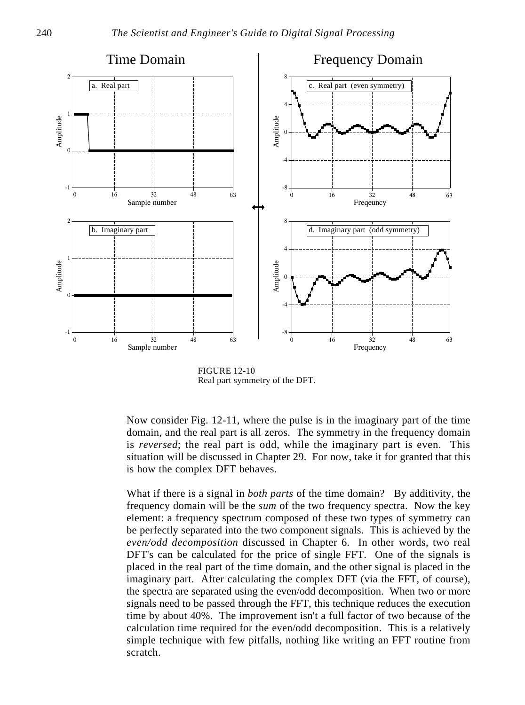

FIGURE 12-10 Real part symmetry of the DFT.

Now consider Fig. 12-11, where the pulse is in the imaginary part of the time domain, and the real part is all zeros. The symmetry in the frequency domain is *reversed*; the real part is odd, while the imaginary part is even. This situation will be discussed in Chapter 29. For now, take it for granted that this is how the complex DFT behaves.

What if there is a signal in *both parts* of the time domain? By additivity, the frequency domain will be the *sum* of the two frequency spectra. Now the key element: a frequency spectrum composed of these two types of symmetry can be perfectly separated into the two component signals. This is achieved by the *even/odd decomposition* discussed in Chapter 6. In other words, two real DFT's can be calculated for the price of single FFT. One of the signals is placed in the real part of the time domain, and the other signal is placed in the imaginary part. After calculating the complex DFT (via the FFT, of course), the spectra are separated using the even/odd decomposition. When two or more signals need to be passed through the FFT, this technique reduces the execution time by about 40%. The improvement isn't a full factor of two because of the calculation time required for the even/odd decomposition. This is a relatively simple technique with few pitfalls, nothing like writing an FFT routine from scratch.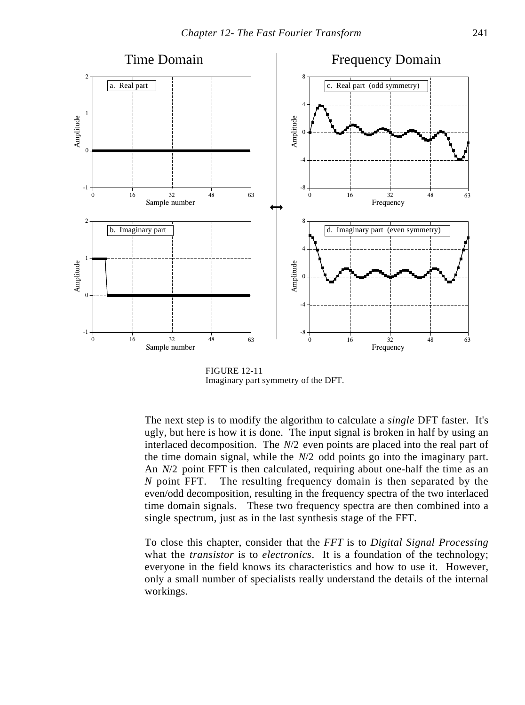

FIGURE 12-11 Imaginary part symmetry of the DFT.

The next step is to modify the algorithm to calculate a *single* DFT faster. It's ugly, but here is how it is done. The input signal is broken in half by using an interlaced decomposition. The *N*/2 even points are placed into the real part of the time domain signal, while the *N*/2 odd points go into the imaginary part. An *N*/2 point FFT is then calculated, requiring about one-half the time as an *N* point FFT. The resulting frequency domain is then separated by the even/odd decomposition, resulting in the frequency spectra of the two interlaced time domain signals. These two frequency spectra are then combined into a single spectrum, just as in the last synthesis stage of the FFT.

To close this chapter, consider that the *FFT* is to *Digital Signal Processing* what the *transistor* is to *electronics*. It is a foundation of the technology; everyone in the field knows its characteristics and how to use it. However, only a small number of specialists really understand the details of the internal workings.